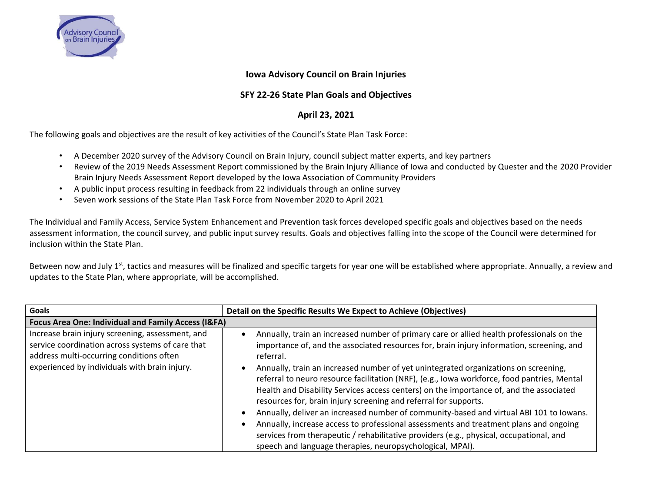

## **Iowa Advisory Council on Brain Injuries**

## **SFY 22-26 State Plan Goals and Objectives**

## **April 23, 2021**

The following goals and objectives are the result of key activities of the Council's State Plan Task Force:

- A December 2020 survey of the Advisory Council on Brain Injury, council subject matter experts, and key partners
- Review of the 2019 Needs Assessment Report commissioned by the Brain Injury Alliance of Iowa and conducted by Quester and the 2020 Provider Brain Injury Needs Assessment Report developed by the Iowa Association of Community Providers
- A public input process resulting in feedback from 22 individuals through an online survey
- Seven work sessions of the State Plan Task Force from November 2020 to April 2021

The Individual and Family Access, Service System Enhancement and Prevention task forces developed specific goals and objectives based on the needs assessment information, the council survey, and public input survey results. Goals and objectives falling into the scope of the Council were determined for inclusion within the State Plan.

Between now and July 1<sup>st</sup>, tactics and measures will be finalized and specific targets for year one will be established where appropriate. Annually, a review and updates to the State Plan, where appropriate, will be accomplished.

| Goals                                                                                                                                                                                             | Detail on the Specific Results We Expect to Achieve (Objectives)                                                                                                                                                                                                                                                                                                                                                                                                                                                                                                                                                                                                                                                                                                                                                                                                                                                  |
|---------------------------------------------------------------------------------------------------------------------------------------------------------------------------------------------------|-------------------------------------------------------------------------------------------------------------------------------------------------------------------------------------------------------------------------------------------------------------------------------------------------------------------------------------------------------------------------------------------------------------------------------------------------------------------------------------------------------------------------------------------------------------------------------------------------------------------------------------------------------------------------------------------------------------------------------------------------------------------------------------------------------------------------------------------------------------------------------------------------------------------|
| Focus Area One: Individual and Family Access (I&FA)                                                                                                                                               |                                                                                                                                                                                                                                                                                                                                                                                                                                                                                                                                                                                                                                                                                                                                                                                                                                                                                                                   |
| Increase brain injury screening, assessment, and<br>service coordination across systems of care that<br>address multi-occurring conditions often<br>experienced by individuals with brain injury. | Annually, train an increased number of primary care or allied health professionals on the<br>$\bullet$<br>importance of, and the associated resources for, brain injury information, screening, and<br>referral.<br>Annually, train an increased number of yet unintegrated organizations on screening,<br>referral to neuro resource facilitation (NRF), (e.g., lowa workforce, food pantries, Mental<br>Health and Disability Services access centers) on the importance of, and the associated<br>resources for, brain injury screening and referral for supports.<br>Annually, deliver an increased number of community-based and virtual ABI 101 to Iowans.<br>Annually, increase access to professional assessments and treatment plans and ongoing<br>services from therapeutic / rehabilitative providers (e.g., physical, occupational, and<br>speech and language therapies, neuropsychological, MPAI). |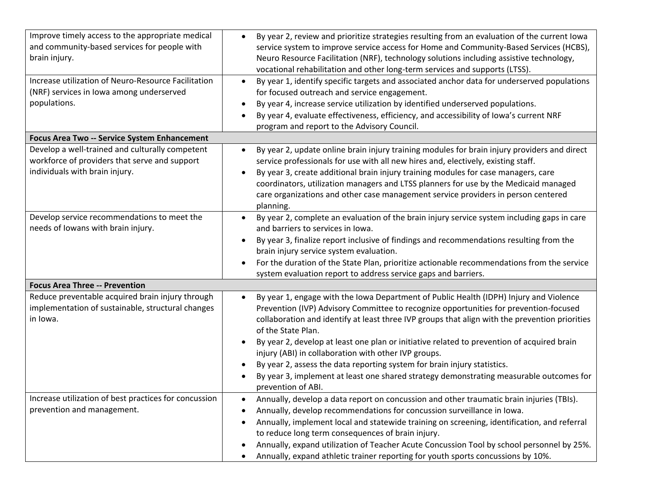| Improve timely access to the appropriate medical<br>and community-based services for people with<br>brain injury.<br>Increase utilization of Neuro-Resource Facilitation<br>(NRF) services in lowa among underserved<br>populations.<br>Focus Area Two -- Service System Enhancement | By year 2, review and prioritize strategies resulting from an evaluation of the current lowa<br>$\bullet$<br>service system to improve service access for Home and Community-Based Services (HCBS),<br>Neuro Resource Facilitation (NRF), technology solutions including assistive technology,<br>vocational rehabilitation and other long-term services and supports (LTSS).<br>By year 1, identify specific targets and associated anchor data for underserved populations<br>$\bullet$<br>for focused outreach and service engagement.<br>By year 4, increase service utilization by identified underserved populations.<br>٠<br>By year 4, evaluate effectiveness, efficiency, and accessibility of Iowa's current NRF<br>program and report to the Advisory Council. |
|--------------------------------------------------------------------------------------------------------------------------------------------------------------------------------------------------------------------------------------------------------------------------------------|---------------------------------------------------------------------------------------------------------------------------------------------------------------------------------------------------------------------------------------------------------------------------------------------------------------------------------------------------------------------------------------------------------------------------------------------------------------------------------------------------------------------------------------------------------------------------------------------------------------------------------------------------------------------------------------------------------------------------------------------------------------------------|
| Develop a well-trained and culturally competent                                                                                                                                                                                                                                      | By year 2, update online brain injury training modules for brain injury providers and direct<br>$\bullet$                                                                                                                                                                                                                                                                                                                                                                                                                                                                                                                                                                                                                                                                 |
| workforce of providers that serve and support                                                                                                                                                                                                                                        | service professionals for use with all new hires and, electively, existing staff.                                                                                                                                                                                                                                                                                                                                                                                                                                                                                                                                                                                                                                                                                         |
| individuals with brain injury.                                                                                                                                                                                                                                                       | By year 3, create additional brain injury training modules for case managers, care<br>$\bullet$                                                                                                                                                                                                                                                                                                                                                                                                                                                                                                                                                                                                                                                                           |
|                                                                                                                                                                                                                                                                                      | coordinators, utilization managers and LTSS planners for use by the Medicaid managed                                                                                                                                                                                                                                                                                                                                                                                                                                                                                                                                                                                                                                                                                      |
|                                                                                                                                                                                                                                                                                      | care organizations and other case management service providers in person centered<br>planning.                                                                                                                                                                                                                                                                                                                                                                                                                                                                                                                                                                                                                                                                            |
| Develop service recommendations to meet the                                                                                                                                                                                                                                          | By year 2, complete an evaluation of the brain injury service system including gaps in care<br>$\bullet$                                                                                                                                                                                                                                                                                                                                                                                                                                                                                                                                                                                                                                                                  |
| needs of Iowans with brain injury.                                                                                                                                                                                                                                                   | and barriers to services in lowa.                                                                                                                                                                                                                                                                                                                                                                                                                                                                                                                                                                                                                                                                                                                                         |
|                                                                                                                                                                                                                                                                                      | By year 3, finalize report inclusive of findings and recommendations resulting from the<br>٠                                                                                                                                                                                                                                                                                                                                                                                                                                                                                                                                                                                                                                                                              |
|                                                                                                                                                                                                                                                                                      | brain injury service system evaluation.                                                                                                                                                                                                                                                                                                                                                                                                                                                                                                                                                                                                                                                                                                                                   |
|                                                                                                                                                                                                                                                                                      | For the duration of the State Plan, prioritize actionable recommendations from the service<br>system evaluation report to address service gaps and barriers.                                                                                                                                                                                                                                                                                                                                                                                                                                                                                                                                                                                                              |
| <b>Focus Area Three -- Prevention</b>                                                                                                                                                                                                                                                |                                                                                                                                                                                                                                                                                                                                                                                                                                                                                                                                                                                                                                                                                                                                                                           |
| Reduce preventable acquired brain injury through                                                                                                                                                                                                                                     | By year 1, engage with the lowa Department of Public Health (IDPH) Injury and Violence                                                                                                                                                                                                                                                                                                                                                                                                                                                                                                                                                                                                                                                                                    |
| implementation of sustainable, structural changes                                                                                                                                                                                                                                    | Prevention (IVP) Advisory Committee to recognize opportunities for prevention-focused                                                                                                                                                                                                                                                                                                                                                                                                                                                                                                                                                                                                                                                                                     |
| in Iowa.                                                                                                                                                                                                                                                                             | collaboration and identify at least three IVP groups that align with the prevention priorities<br>of the State Plan.                                                                                                                                                                                                                                                                                                                                                                                                                                                                                                                                                                                                                                                      |
|                                                                                                                                                                                                                                                                                      | By year 2, develop at least one plan or initiative related to prevention of acquired brain                                                                                                                                                                                                                                                                                                                                                                                                                                                                                                                                                                                                                                                                                |
|                                                                                                                                                                                                                                                                                      | injury (ABI) in collaboration with other IVP groups.                                                                                                                                                                                                                                                                                                                                                                                                                                                                                                                                                                                                                                                                                                                      |
|                                                                                                                                                                                                                                                                                      | By year 2, assess the data reporting system for brain injury statistics.                                                                                                                                                                                                                                                                                                                                                                                                                                                                                                                                                                                                                                                                                                  |
|                                                                                                                                                                                                                                                                                      | By year 3, implement at least one shared strategy demonstrating measurable outcomes for<br>prevention of ABI.                                                                                                                                                                                                                                                                                                                                                                                                                                                                                                                                                                                                                                                             |
| Increase utilization of best practices for concussion                                                                                                                                                                                                                                | Annually, develop a data report on concussion and other traumatic brain injuries (TBIs).                                                                                                                                                                                                                                                                                                                                                                                                                                                                                                                                                                                                                                                                                  |
| prevention and management.                                                                                                                                                                                                                                                           | Annually, develop recommendations for concussion surveillance in lowa.<br>$\bullet$                                                                                                                                                                                                                                                                                                                                                                                                                                                                                                                                                                                                                                                                                       |
|                                                                                                                                                                                                                                                                                      | Annually, implement local and statewide training on screening, identification, and referral<br>٠                                                                                                                                                                                                                                                                                                                                                                                                                                                                                                                                                                                                                                                                          |
|                                                                                                                                                                                                                                                                                      | to reduce long term consequences of brain injury.                                                                                                                                                                                                                                                                                                                                                                                                                                                                                                                                                                                                                                                                                                                         |
|                                                                                                                                                                                                                                                                                      | Annually, expand utilization of Teacher Acute Concussion Tool by school personnel by 25%.<br>٠                                                                                                                                                                                                                                                                                                                                                                                                                                                                                                                                                                                                                                                                            |
|                                                                                                                                                                                                                                                                                      | Annually, expand athletic trainer reporting for youth sports concussions by 10%.                                                                                                                                                                                                                                                                                                                                                                                                                                                                                                                                                                                                                                                                                          |